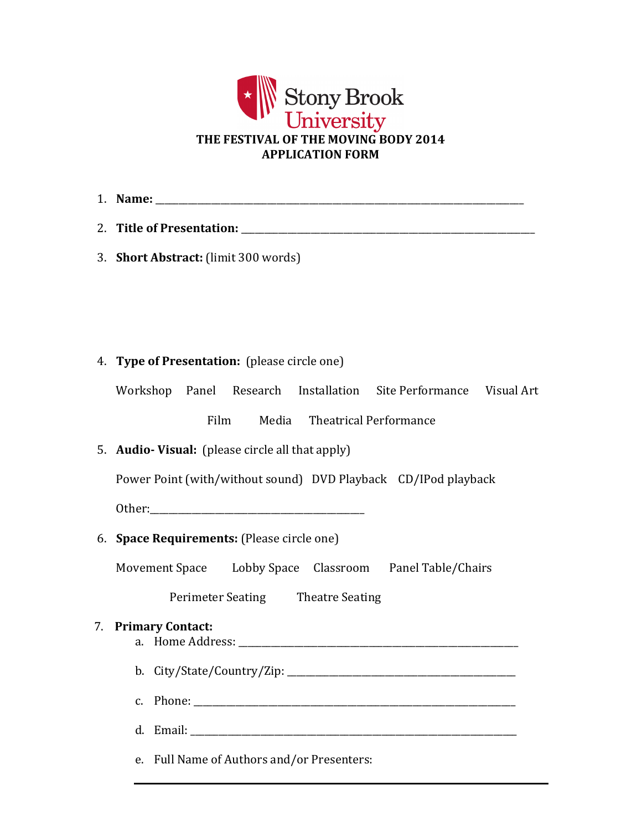

| 1. Name:                  |  |  |  |
|---------------------------|--|--|--|
| 2. Title of Presentation: |  |  |  |

3. **Short Abstract:** (limit 300 words)

## 4. **Type of Presentation:** (please circle one)

Workshop Panel Research Installation Site Performance Visual Art

Film Media Theatrical Performance

# 5. **Audio- Visual:** (please circle all that apply)

Power Point (with/without sound) DVD Playback CD/IPod playback

Other:

6. **Space Requirements:** (Please circle one)

Movement Space Lobby Space Classroom Panel Table/Chairs

Perimeter Seating Theatre Seating

## 7. **Primary Contact:**

a. Home Address: \_\_\_\_\_\_\_\_\_\_\_\_\_\_\_\_\_\_\_\_\_\_\_\_\_\_\_\_\_\_\_\_\_\_\_\_\_\_\_\_\_\_\_\_\_\_\_\_\_\_\_\_\_\_\_\_\_\_\_\_

b. City/State/Country/Zip: \_\_\_\_\_\_\_\_\_\_\_\_\_\_\_\_\_\_\_\_\_\_\_\_\_\_\_\_\_\_\_\_\_\_\_\_\_\_\_\_\_\_\_\_\_\_\_\_\_

- c. Phone: \_\_\_\_\_\_\_\_\_\_\_\_\_\_\_\_\_\_\_\_\_\_\_\_\_\_\_\_\_\_\_\_\_\_\_\_\_\_\_\_\_\_\_\_\_\_\_\_\_\_\_\_\_\_\_\_\_\_\_\_\_\_\_\_\_\_\_\_\_
- d. Email:

e. Full Name of Authors and/or Presenters: